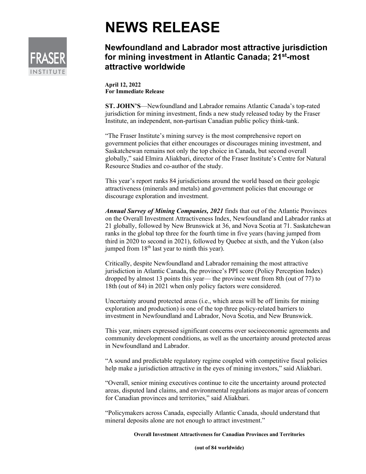

## **NEWS RELEASE**

## **Newfoundland and Labrador most attractive jurisdiction for mining investment in Atlantic Canada; 21st-most attractive worldwide**

**April 12, 2022 For Immediate Release**

**ST. JOHN'S**—Newfoundland and Labrador remains Atlantic Canada's top-rated jurisdiction for mining investment, finds a new study released today by the Fraser Institute, an independent, non-partisan Canadian public policy think-tank.

"The Fraser Institute's mining survey is the most comprehensive report on government policies that either encourages or discourages mining investment, and Saskatchewan remains not only the top choice in Canada, but second overall globally," said Elmira Aliakbari, director of the Fraser Institute's Centre for Natural Resource Studies and co-author of the study.

This year's report ranks 84 jurisdictions around the world based on their geologic attractiveness (minerals and metals) and government policies that encourage or discourage exploration and investment.

*Annual Survey of Mining Companies, 2021* finds that out of the Atlantic Provinces on the Overall Investment Attractiveness Index, Newfoundland and Labrador ranks at 21 globally, followed by New Brunswick at 36, and Nova Scotia at 71. Saskatchewan ranks in the global top three for the fourth time in five years (having jumped from third in 2020 to second in 2021), followed by Quebec at sixth, and the Yukon (also jumped from  $18<sup>th</sup>$  last year to ninth this year).

Critically, despite Newfoundland and Labrador remaining the most attractive jurisdiction in Atlantic Canada, the province's PPI score (Policy Perception Index) dropped by almost 13 points this year— the province went from 8th (out of 77) to 18th (out of 84) in 2021 when only policy factors were considered.

Uncertainty around protected areas (i.e., which areas will be off limits for mining exploration and production) is one of the top three policy-related barriers to investment in Newfoundland and Labrador, Nova Scotia, and New Brunswick.

This year, miners expressed significant concerns over socioeconomic agreements and community development conditions, as well as the uncertainty around protected areas in Newfoundland and Labrador.

"A sound and predictable regulatory regime coupled with competitive fiscal policies help make a jurisdiction attractive in the eyes of mining investors," said Aliakbari.

"Overall, senior mining executives continue to cite the uncertainty around protected areas, disputed land claims, and environmental regulations as major areas of concern for Canadian provinces and territories," said Aliakbari.

"Policymakers across Canada, especially Atlantic Canada, should understand that mineral deposits alone are not enough to attract investment."

**Overall Investment Attractiveness for Canadian Provinces and Territories**